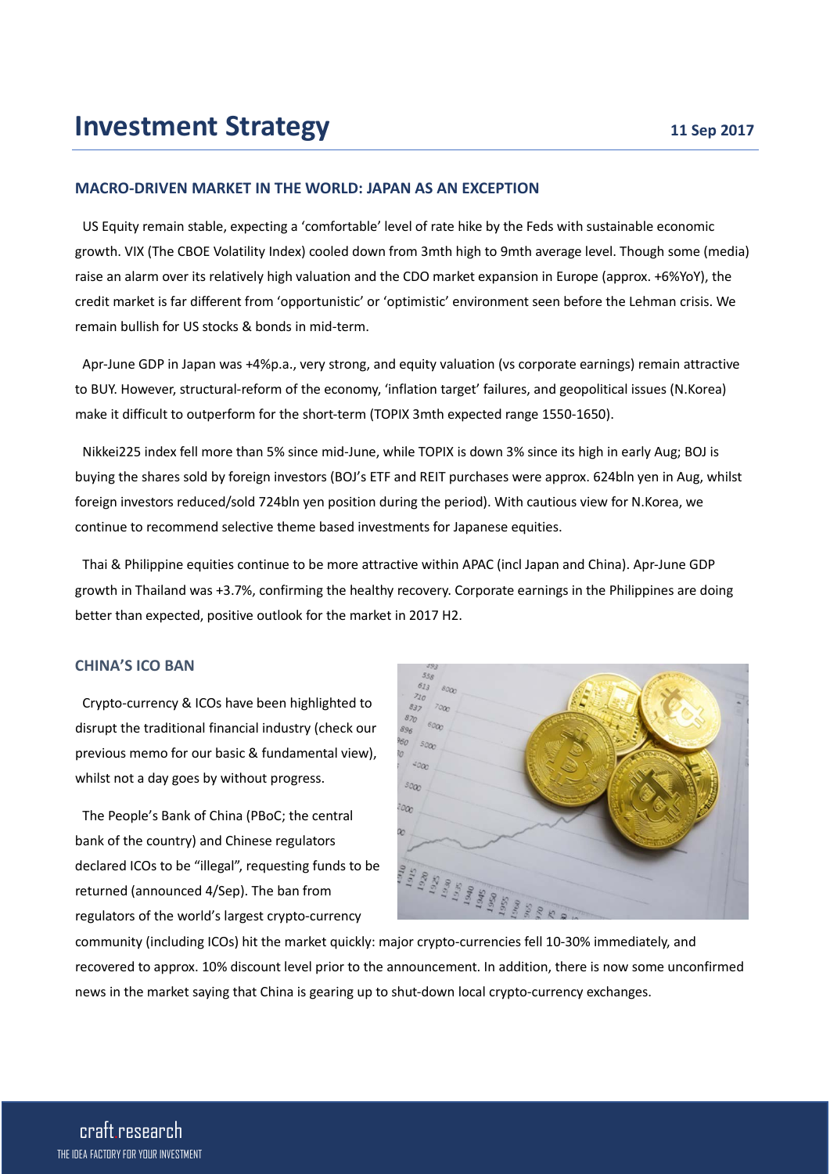## **MACRO-DRIVEN MARKET IN THE WORLD: JAPAN AS AN EXCEPTION**

US Equity remain stable, expecting a 'comfortable' level of rate hike by the Feds with sustainable economic growth. VIX (The CBOE Volatility Index) cooled down from 3mth high to 9mth average level. Though some (media) raise an alarm over its relatively high valuation and the CDO market expansion in Europe (approx. +6%YoY), the credit market is far different from 'opportunistic' or 'optimistic' environment seen before the Lehman crisis. We remain bullish for US stocks & bonds in mid-term.

Apr-June GDP in Japan was +4%p.a., very strong, and equity valuation (vs corporate earnings) remain attractive to BUY. However, structural-reform of the economy, 'inflation target' failures, and geopolitical issues (N.Korea) make it difficult to outperform for the short-term (TOPIX 3mth expected range 1550-1650).

Nikkei225 index fell more than 5% since mid-June, while TOPIX is down 3% since its high in early Aug; BOJ is buying the shares sold by foreign investors (BOJ's ETF and REIT purchases were approx. 624bln yen in Aug, whilst foreign investors reduced/sold 724bln yen position during the period). With cautious view for N.Korea, we continue to recommend selective theme based investments for Japanese equities.

Thai & Philippine equities continue to be more attractive within APAC (incl Japan and China). Apr-June GDP growth in Thailand was +3.7%, confirming the healthy recovery. Corporate earnings in the Philippines are doing better than expected, positive outlook for the market in 2017 H2.

#### **CHINA'S ICO BAN**

Crypto-currency & ICOs have been highlighted to disrupt the traditional financial industry (check our previous memo for our basic & fundamental view), whilst not a day goes by without progress.

The People's Bank of China (PBoC; the central bank of the country) and Chinese regulators declared ICOs to be "illegal", requesting funds to be returned (announced 4/Sep). The ban from regulators of the world's largest crypto-currency



community (including ICOs) hit the market quickly: major crypto-currencies fell 10-30% immediately, and recovered to approx. 10% discount level prior to the announcement. In addition, there is now some unconfirmed news in the market saying that China is gearing up to shut-down local crypto-currency exchanges.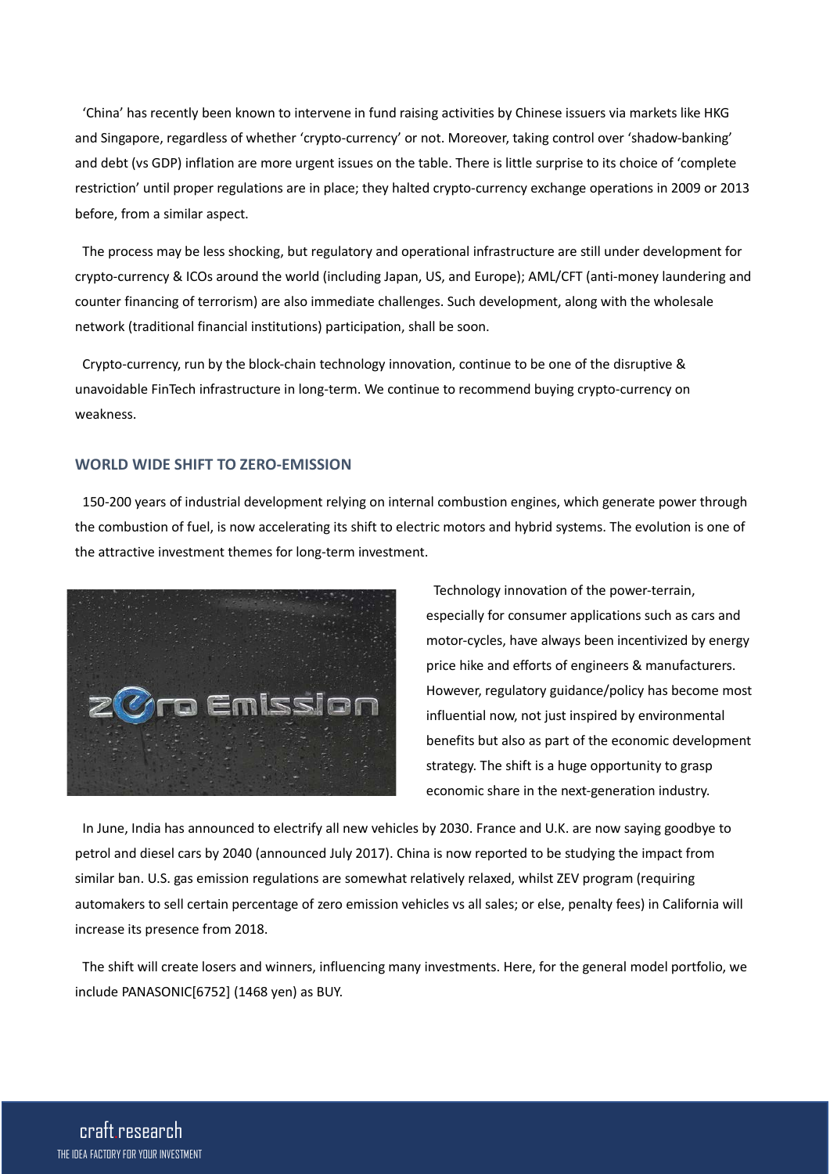'China' has recently been known to intervene in fund raising activities by Chinese issuers via markets like HKG and Singapore, regardless of whether 'crypto-currency' or not. Moreover, taking control over 'shadow-banking' and debt (vs GDP) inflation are more urgent issues on the table. There is little surprise to its choice of 'complete restriction' until proper regulations are in place; they halted crypto-currency exchange operations in 2009 or 2013 before, from a similar aspect.

The process may be less shocking, but regulatory and operational infrastructure are still under development for crypto-currency & ICOs around the world (including Japan, US, and Europe); AML/CFT (anti-money laundering and counter financing of terrorism) are also immediate challenges. Such development, along with the wholesale network (traditional financial institutions) participation, shall be soon.

Crypto-currency, run by the block-chain technology innovation, continue to be one of the disruptive & unavoidable FinTech infrastructure in long-term. We continue to recommend buying crypto-currency on weakness.

# **WORLD WIDE SHIFT TO ZERO-EMISSION**

150-200 years of industrial development relying on internal combustion engines, which generate power through the combustion of fuel, is now accelerating its shift to electric motors and hybrid systems. The evolution is one of the attractive investment themes for long-term investment.



Technology innovation of the power-terrain, especially for consumer applications such as cars and motor-cycles, have always been incentivized by energy price hike and efforts of engineers & manufacturers. However, regulatory guidance/policy has become most influential now, not just inspired by environmental benefits but also as part of the economic development strategy. The shift is a huge opportunity to grasp economic share in the next-generation industry.

In June, India has announced to electrify all new vehicles by 2030. France and U.K. are now saying goodbye to petrol and diesel cars by 2040 (announced July 2017). China is now reported to be studying the impact from similar ban. U.S. gas emission regulations are somewhat relatively relaxed, whilst ZEV program (requiring automakers to sell certain percentage of zero emission vehicles vs all sales; or else, penalty fees) in California will increase its presence from 2018.

The shift will create losers and winners, influencing many investments. Here, for the general model portfolio, we include PANASONIC[6752] (1468 yen) as BUY.